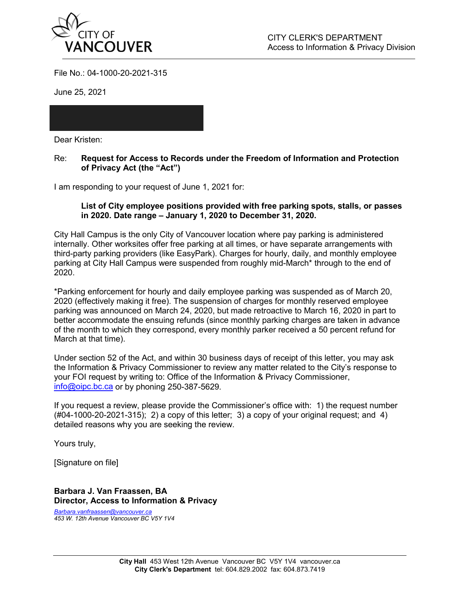

File No.: 04-1000-20-2021-315

June 25, 2021

Dear Kristen:

Re: **Request for Access to Records under the Freedom of Information and Protection of Privacy Act (the "Act")**

I am responding to your request of June 1, 2021 for:

## **List of City employee positions provided with free parking spots, stalls, or passes in 2020. Date range – January 1, 2020 to December 31, 2020.**

City Hall Campus is the only City of Vancouver location where pay parking is administered internally. Other worksites offer free parking at all times, or have separate arrangements with third-party parking providers (like EasyPark). Charges for hourly, daily, and monthly employee parking at City Hall Campus were suspended from roughly mid-March\* through to the end of 2020.

\*Parking enforcement for hourly and daily employee parking was suspended as of March 20, 2020 (effectively making it free). The suspension of charges for monthly reserved employee parking was announced on March 24, 2020, but made retroactive to March 16, 2020 in part to better accommodate the ensuing refunds (since monthly parking charges are taken in advance of the month to which they correspond, every monthly parker received a 50 percent refund for March at that time).

Under section 52 of the Act, and within 30 business days of receipt of this letter, you may ask the Information & Privacy Commissioner to review any matter related to the City's response to your FOI request by writing to: Office of the Information & Privacy Commissioner, [info@oipc.bc.ca](mailto:info@oipc.bc.ca) or by phoning 250-387-5629.

If you request a review, please provide the Commissioner's office with: 1) the request number (#04-1000-20-2021-315); 2) a copy of this letter; 3) a copy of your original request; and 4) detailed reasons why you are seeking the review.

Yours truly,

[Signature on file]

**Barbara J. Van Fraassen, BA Director, Access to Information & Privacy**

*Barbara.vanfraassen@vancouver.ca 453 W. 12th Avenue Vancouver BC V5Y 1V4*